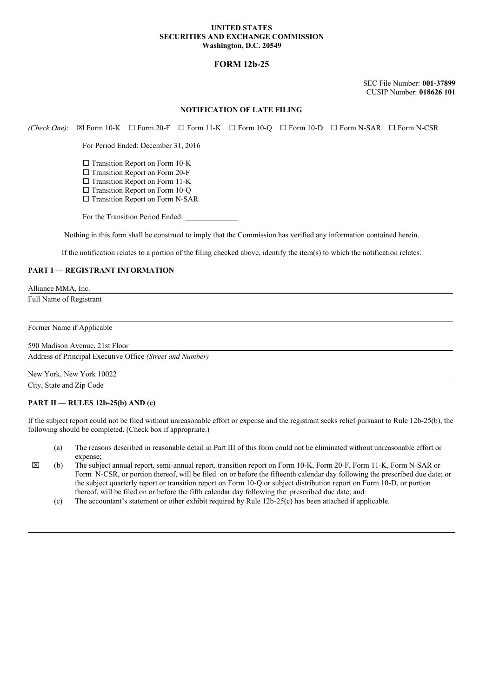#### **UNITED STATES SECURITIES AND EXCHANGE COMMISSION Washington, D.C. 20549**

# **FORM 12b-25**

SEC File Number: **001-37899** CUSIP Number: **018626 101**

#### **NOTIFICATION OF LATE FILING**

 $(Check One): \quad \boxed{\boxtimes}$  Form 10-K  $\quad \boxed{\Box}$  Form 20-F  $\quad \boxed{\Box}$  Form 11-K  $\quad \boxed{\Box}$  Form 10-Q  $\quad \boxed{\Box}$  Form N-SAR  $\boxed{\Box}$  Form N-CSR

For Period Ended: December 31, 2016

 $\square$  Transition Report on Form 10-K

 $\square$  Transition Report on Form 20-F

 $\square$  Transition Report on Form 11-K

 $\square$  Transition Report on Form 10-Q

□ Transition Report on Form N-SAR

For the Transition Period Ended:

Nothing in this form shall be construed to imply that the Commission has verified any information contained herein.

If the notification relates to a portion of the filing checked above, identify the item(s) to which the notification relates:

### **PART I — REGISTRANT INFORMATION**

Alliance MMA, Inc.

Full Name of Registrant

### Former Name if Applicable

590 Madison Avenue, 21st Floor

Address of Principal Executive Office *(Street and Number)*

New York, New York 10022

City, State and Zip Code

# **PART II — RULES 12b-25(b) AND (c)**

If the subject report could not be filed without unreasonable effort or expense and the registrant seeks relief pursuant to Rule 12b-25(b), the following should be completed. (Check box if appropriate.)

- (a) The reasons described in reasonable detail in Part III of this form could not be eliminated without unreasonable effort or expense;
- x (b) The subject annual report, semi-annual report, transition report on Form 10-K, Form 20-F, Form 11-K, Form N-SAR or Form N-CSR, or portion thereof, will be filed on or before the fifteenth calendar day following the prescribed due date; or the subject quarterly report or transition report on Form 10-Q or subject distribution report on Form 10-D, or portion thereof, will be filed on or before the fifth calendar day following the prescribed due date; and
	- (c) The accountant's statement or other exhibit required by Rule 12b-25(c) has been attached if applicable.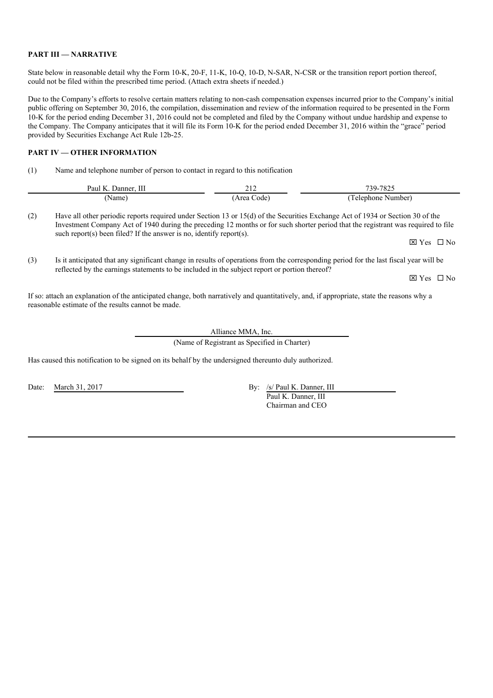## **PART III — NARRATIVE**

State below in reasonable detail why the Form 10-K, 20-F, 11-K, 10-Q, 10-D, N-SAR, N-CSR or the transition report portion thereof, could not be filed within the prescribed time period. (Attach extra sheets if needed.)

Due to the Company's efforts to resolve certain matters relating to non-cash compensation expenses incurred prior to the Company's initial public offering on September 30, 2016, the compilation, dissemination and review of the information required to be presented in the Form 10-K for the period ending December 31, 2016 could not be completed and filed by the Company without undue hardship and expense to the Company. The Company anticipates that it will file its Form 10-K for the period ended December 31, 2016 within the "grace" period provided by Securities Exchange Act Rule 12b-25.

## **PART IV — OTHER INFORMATION**

(1) Name and telephone number of person to contact in regard to this notification

| Paul K.<br>Ш<br>Danner. | 212        | 739-7825          |
|-------------------------|------------|-------------------|
| (Name                   | Area Code) | Telephone Number) |

(2) Have all other periodic reports required under Section 13 or 15(d) of the Securities Exchange Act of 1934 or Section 30 of the Investment Company Act of 1940 during the preceding 12 months or for such shorter period that the registrant was required to file such report(s) been filed? If the answer is no, identify report(s).

 $\boxtimes$  Yes  $\Box$  No

(3) Is it anticipated that any significant change in results of operations from the corresponding period for the last fiscal year will be reflected by the earnings statements to be included in the subject report or portion thereof?

 $\boxtimes$  Yes  $\Box$  No

If so: attach an explanation of the anticipated change, both narratively and quantitatively, and, if appropriate, state the reasons why a reasonable estimate of the results cannot be made.

Alliance MMA, Inc.

(Name of Registrant as Specified in Charter)

Has caused this notification to be signed on its behalf by the undersigned thereunto duly authorized.

Date: March 31, 2017 By: /s/ Paul K. Danner, III Paul K. Danner, III Chairman and CEO